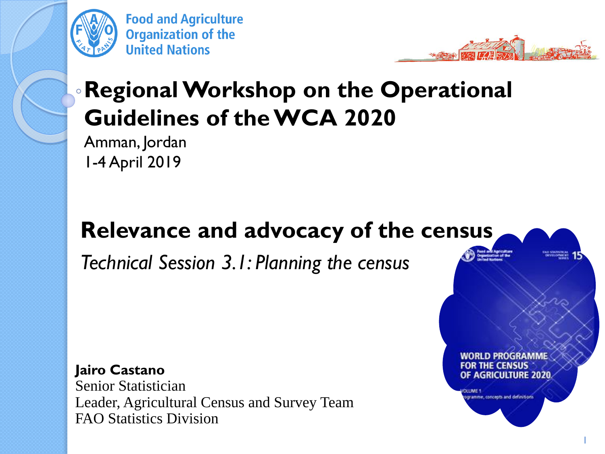

**Food and Agriculture Organization of the United Nations** 



WORLD PROGRAMME

OF AGRICULTURE 2020.

ramme, concepts and definitions

1

### **Regional Workshop on the Operational Guidelines of the WCA 2020**

Amman, Jordan 1-4 April 2019

#### **Relevance and advocacy of the census**

*Technical Session 3.1: Planning the census*

**Jairo Castano** Senior Statistician Leader, Agricultural Census and Survey Team FAO Statistics Division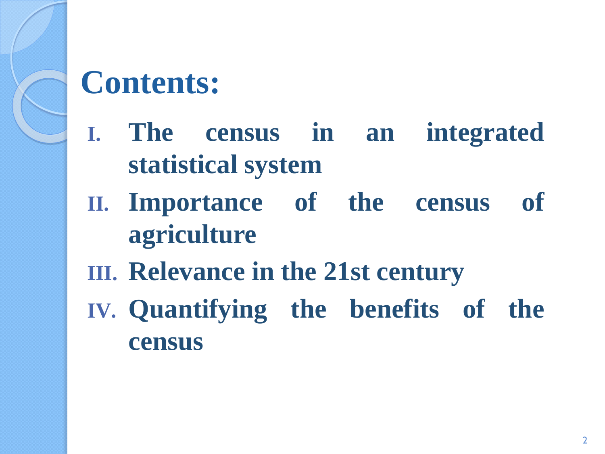

# **Contents:**

- **I. The census in an integrated statistical system**
- **II. Importance of the census of agriculture**
- **III. Relevance in the 21st century**
- **IV. Quantifying the benefits of the census**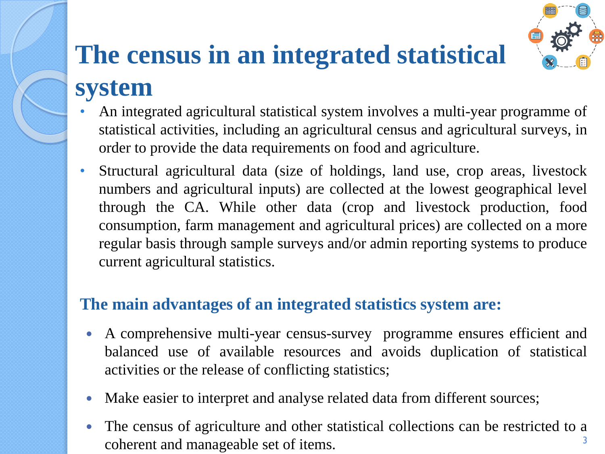# **The census in an integrated statistical system**

- An integrated agricultural statistical system involves a multi-year programme of statistical activities, including an agricultural census and agricultural surveys, in order to provide the data requirements on food and agriculture.
- Structural agricultural data (size of holdings, land use, crop areas, livestock numbers and agricultural inputs) are collected at the lowest geographical level through the CA. While other data (crop and livestock production, food consumption, farm management and agricultural prices) are collected on a more regular basis through sample surveys and/or admin reporting systems to produce current agricultural statistics.

#### **The main advantages of an integrated statistics system are:**

- A comprehensive multi-year census-survey programme ensures efficient and balanced use of available resources and avoids duplication of statistical activities or the release of conflicting statistics;
- Make easier to interpret and analyse related data from different sources;
- The census of agriculture and other statistical collections can be restricted to a coherent and manageable set of items. 3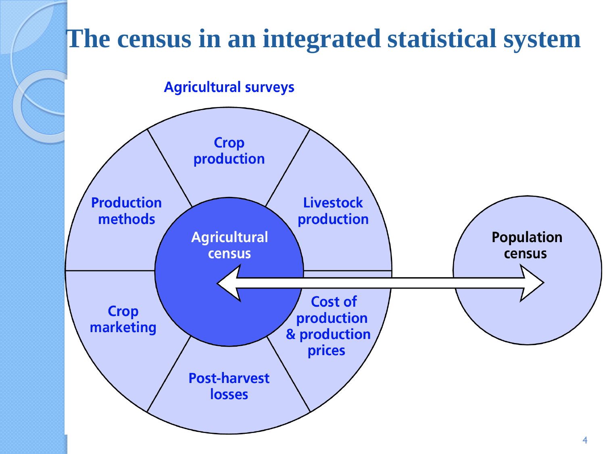### **The census in an integrated statistical system**

**Agricultural surveys** 

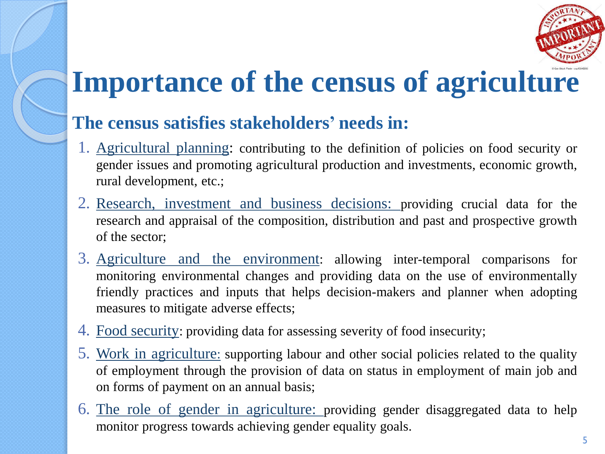

# **Importance of the census of agriculture**

#### **The census satisfies stakeholders' needs in:**

- 1. Agricultural planning: contributing to the definition of policies on food security or gender issues and promoting agricultural production and investments, economic growth, rural development, etc.;
- 2. Research, investment and business decisions: providing crucial data for the research and appraisal of the composition, distribution and past and prospective growth of the sector;
- 3. Agriculture and the environment: allowing inter-temporal comparisons for monitoring environmental changes and providing data on the use of environmentally friendly practices and inputs that helps decision-makers and planner when adopting measures to mitigate adverse effects;
- 4. Food security: providing data for assessing severity of food insecurity;
- 5. Work in agriculture: supporting labour and other social policies related to the quality of employment through the provision of data on status in employment of main job and on forms of payment on an annual basis;
- 6. The role of gender in agriculture: providing gender disaggregated data to help monitor progress towards achieving gender equality goals.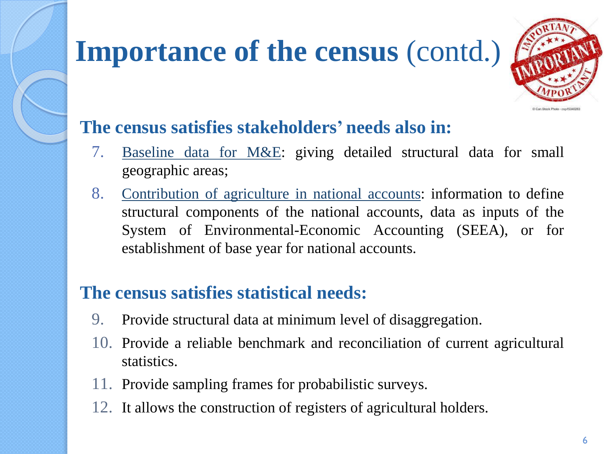# **Importance of the census** (contd.)



#### **The census satisfies stakeholders' needs also in:**

- 7. Baseline data for M&E: giving detailed structural data for small geographic areas;
- 8. Contribution of agriculture in national accounts: information to define structural components of the national accounts, data as inputs of the System of Environmental-Economic Accounting (SEEA), or for establishment of base year for national accounts.

#### **The census satisfies statistical needs:**

- 9. Provide structural data at minimum level of disaggregation.
- 10. Provide a reliable benchmark and reconciliation of current agricultural statistics.
- 11. Provide sampling frames for probabilistic surveys.
- 12. It allows the construction of registers of agricultural holders.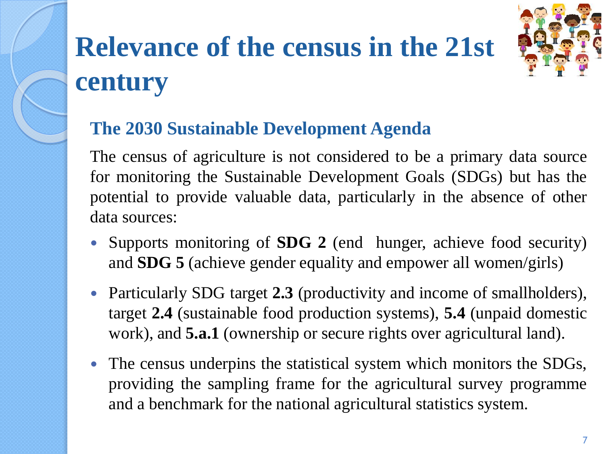# **Relevance of the census in the 21st century**



#### **The 2030 Sustainable Development Agenda**

The census of agriculture is not considered to be a primary data source for monitoring the Sustainable Development Goals (SDGs) but has the potential to provide valuable data, particularly in the absence of other data sources:

- Supports monitoring of **SDG 2** (end hunger, achieve food security) and **SDG 5** (achieve gender equality and empower all women/girls)
- Particularly SDG target **2.3** (productivity and income of smallholders), target **2.4** (sustainable food production systems), **5.4** (unpaid domestic work), and **5.a.1** (ownership or secure rights over agricultural land).
- The census underpins the statistical system which monitors the SDGs, providing the sampling frame for the agricultural survey programme and a benchmark for the national agricultural statistics system.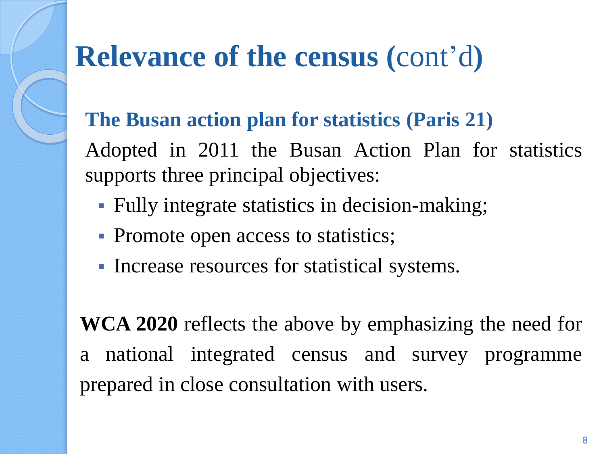# **Relevance of the census (**cont'd**)**

#### **The Busan action plan for statistics (Paris 21)**

Adopted in 2011 the Busan Action Plan for statistics supports three principal objectives:

- Fully integrate statistics in decision-making;
- Promote open access to statistics;
- Increase resources for statistical systems.

**WCA 2020** reflects the above by emphasizing the need for a national integrated census and survey programme prepared in close consultation with users.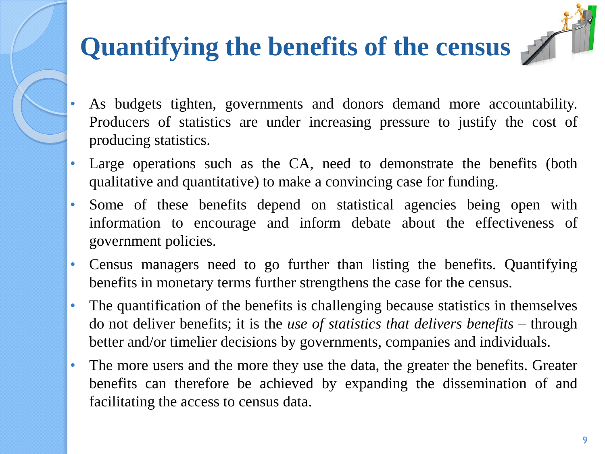## **Quantifying the benefits of the census**

- As budgets tighten, governments and donors demand more accountability. Producers of statistics are under increasing pressure to justify the cost of producing statistics.
- Large operations such as the CA, need to demonstrate the benefits (both qualitative and quantitative) to make a convincing case for funding.
- Some of these benefits depend on statistical agencies being open with information to encourage and inform debate about the effectiveness of government policies.
- Census managers need to go further than listing the benefits. Quantifying benefits in monetary terms further strengthens the case for the census.
- The quantification of the benefits is challenging because statistics in themselves do not deliver benefits; it is the *use of statistics that delivers benefits* – through better and/or timelier decisions by governments, companies and individuals.
- The more users and the more they use the data, the greater the benefits. Greater benefits can therefore be achieved by expanding the dissemination of and facilitating the access to census data.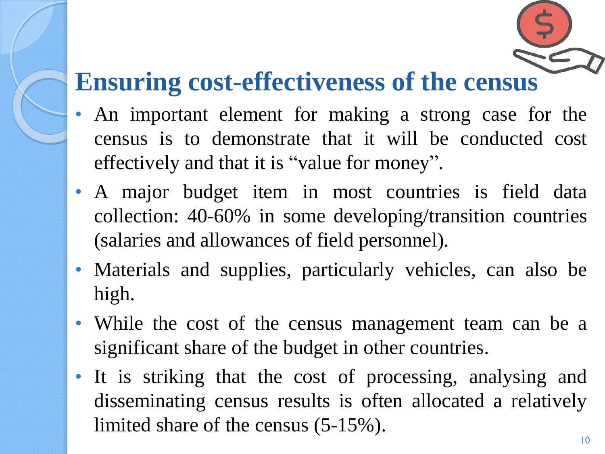### **Ensuring cost-effectiveness of the census**

- An important element for making a strong case for the census is to demonstrate that it will be conducted cost effectively and that it is "value for money".
- A major budget item in most countries is field data collection: 40-60% in some developing/transition countries (salaries and allowances of field personnel).
- Materials and supplies, particularly vehicles, can also be high.
- While the cost of the census management team can be a significant share of the budget in other countries.
- It is striking that the cost of processing, analysing and disseminating census results is often allocated a relatively limited share of the census (5-15%).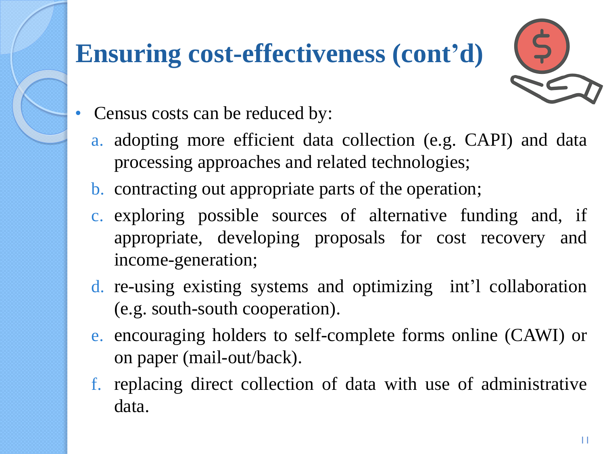### **Ensuring cost-effectiveness (cont'd)**

- Census costs can be reduced by:
	- a. adopting more efficient data collection (e.g. CAPI) and data processing approaches and related technologies;
	- b. contracting out appropriate parts of the operation;
	- c. exploring possible sources of alternative funding and, if appropriate, developing proposals for cost recovery and income-generation;
	- d. re-using existing systems and optimizing int'l collaboration (e.g. south-south cooperation).
	- e. encouraging holders to self-complete forms online (CAWI) or on paper (mail-out/back).
	- f. replacing direct collection of data with use of administrative data.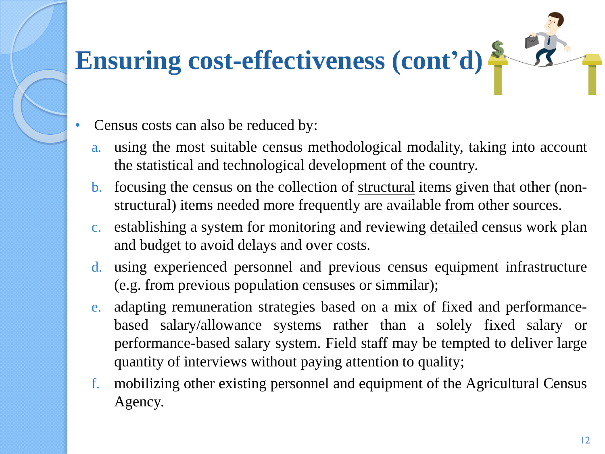# **Ensuring cost-effectiveness (cont'd)**

- Census costs can also be reduced by:
	- a. using the most suitable census methodological modality, taking into account the statistical and technological development of the country.
	- b. focusing the census on the collection of structural items given that other (nonstructural) items needed more frequently are available from other sources.
	- c. establishing a system for monitoring and reviewing detailed census work plan and budget to avoid delays and over costs.
	- d. using experienced personnel and previous census equipment infrastructure (e.g. from previous population censuses or simmilar);
	- e. adapting remuneration strategies based on a mix of fixed and performancebased salary/allowance systems rather than a solely fixed salary or performance-based salary system. Field staff may be tempted to deliver large quantity of interviews without paying attention to quality;
	- f. mobilizing other existing personnel and equipment of the Agricultural Census Agency.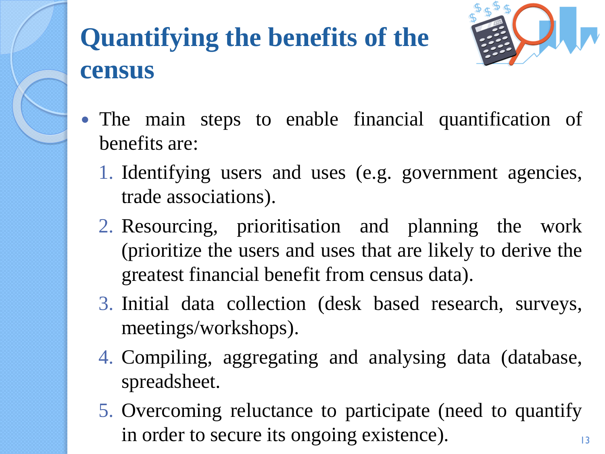

### **Quantifying the benefits of the census**



- The main steps to enable financial quantification of benefits are:
	- 1. Identifying users and uses (e.g. government agencies, trade associations).
	- 2. Resourcing, prioritisation and planning the work (prioritize the users and uses that are likely to derive the greatest financial benefit from census data).
	- 3. Initial data collection (desk based research, surveys, meetings/workshops).
	- 4. Compiling, aggregating and analysing data (database, spreadsheet.
	- 5. Overcoming reluctance to participate (need to quantify in order to secure its ongoing existence).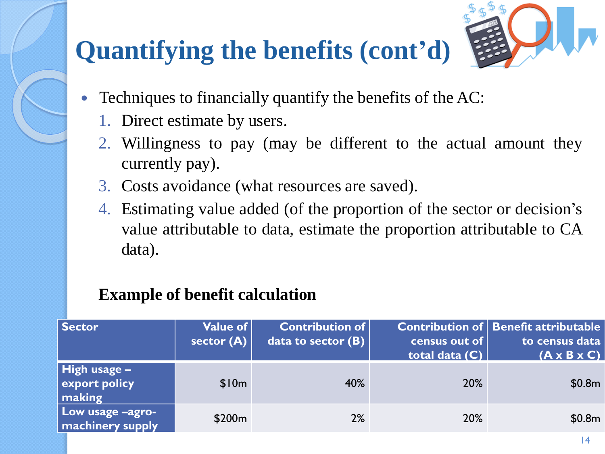### **Quantifying the benefits (cont'd)**



- Techniques to financially quantify the benefits of the AC:
	- 1. Direct estimate by users.
	- 2. Willingness to pay (may be different to the actual amount they currently pay).
	- 3. Costs avoidance (what resources are saved).
	- 4. Estimating value added (of the proportion of the sector or decision's value attributable to data, estimate the proportion attributable to CA data).

#### **Example of benefit calculation**

| <b>Sector</b>                                                      | Value of<br>sector $(A)$ | <b>Contribution of</b><br>data to sector $(B)$ | census out of<br>total data (C) | <b>Contribution of Benefit attributable</b><br>to census data<br>$(A \times B \times C)$ |
|--------------------------------------------------------------------|--------------------------|------------------------------------------------|---------------------------------|------------------------------------------------------------------------------------------|
| $\parallel$ High usage $\equiv$<br>export policy<br>$\vert$ making | \$10m                    | 40%                                            | 20%                             | \$0.8m                                                                                   |
| Low usage -agro-<br>machinery supply                               | \$200 <sub>m</sub>       | 2%                                             | 20%                             | \$0.8m                                                                                   |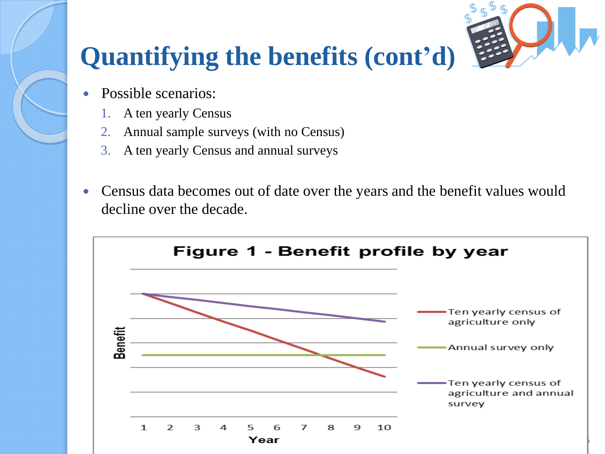

### **Quantifying the benefits (cont'd)**

- Possible scenarios:
	- 1. A ten yearly Census
	- 2. Annual sample surveys (with no Census)
	- 3. A ten yearly Census and annual surveys
- Census data becomes out of date over the years and the benefit values would decline over the decade.

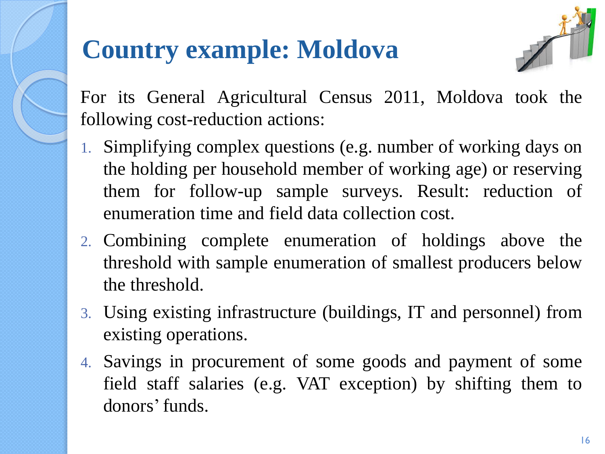### **Country example: Moldova**



For its General Agricultural Census 2011, Moldova took the following cost-reduction actions:

- 1. Simplifying complex questions (e.g. number of working days on the holding per household member of working age) or reserving them for follow-up sample surveys. Result: reduction of enumeration time and field data collection cost.
- 2. Combining complete enumeration of holdings above the threshold with sample enumeration of smallest producers below the threshold.
- 3. Using existing infrastructure (buildings, IT and personnel) from existing operations.
- 4. Savings in procurement of some goods and payment of some field staff salaries (e.g. VAT exception) by shifting them to donors' funds.